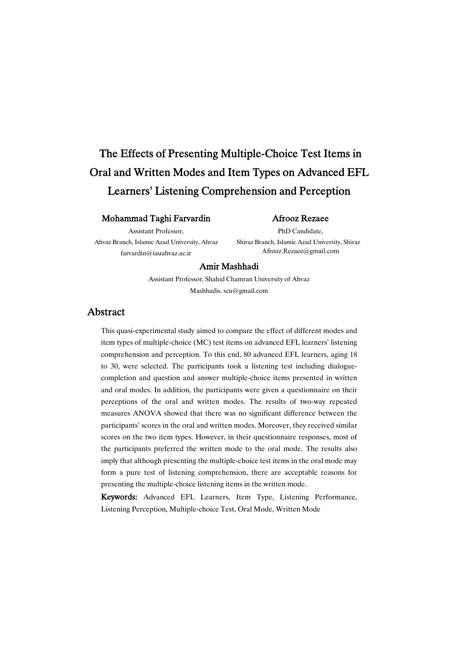# The Effects of Presenting Multiple-Choice Test Items in Oral and Written Modes and Item Types on Advanced EFL Learners' Listening Comprehension and Perception

### Mohammad Taghi Farvardin

Assistant Professor,

Ahvaz Branch, Islamic Azad University, Ahvaz farvardin@iauahvaz.ac.ir

### Afrooz Rezaee

PhD Candidate, Shiraz Branch, Islamic Azad University, Shiraz Afrooz.Rezaee@gmail.com

### Amir Mashhadi

Assistant Professor, Shahid Chamran University of Ahvaz Mashhadis. scu@gmail.com

# Abstract

This quasi-experimental study aimed to compare the effect of different modes and item types of multiple-choice (MC) test items on advanced EFL learners' listening comprehension and perception. To this end, 80 advanced EFL learners, aging 18 to 30, were selected. The participants took a listening test including dialoguecompletion and question and answer multiple-choice items presented in written and oral modes. In addition, the participants were given a questionnaire on their perceptions of the oral and written modes. The results of two-way repeated measures ANOVA showed that there was no significant difference between the participants' scores in the oral and written modes. Moreover, they received similar scores on the two item types. However, in their questionnaire responses, most of the participants preferred the written mode to the oral mode. The results also imply that although presenting the multiple-choice test items in the oral mode may form a pure test of listening comprehension, there are acceptable reasons for presenting the multiple-choice listening items in the written mode.

Keywords: Advanced EFL Learners, Item Type, Listening Performance, Listening Perception, Multiple-choice Test, Oral Mode, Written Mode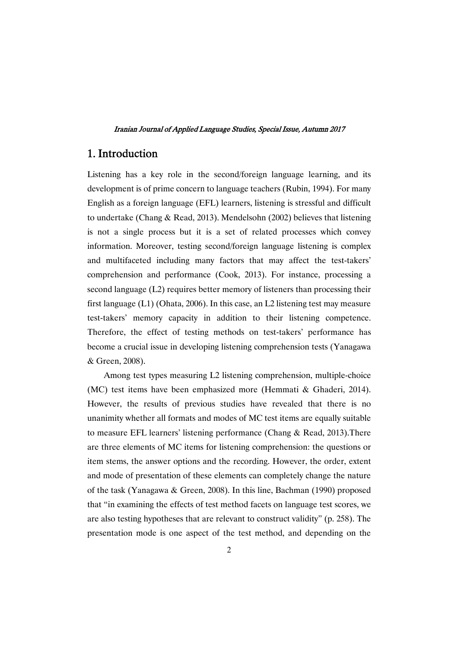# 1.Introduction

Listening has a key role in the second/foreign language learning, and its development is of prime concern to language teachers (Rubin, 1994). For many English as a foreign language (EFL) learners, listening is stressful and difficult to undertake (Chang & Read, 2013). Mendelsohn (2002) believes that listening is not a single process but it is a set of related processes which convey information. Moreover, testing second/foreign language listening is complex and multifaceted including many factors that may affect the test-takers' comprehension and performance (Cook, 2013). For instance, processing a second language (L2) requires better memory of listeners than processing their first language (L1) (Ohata, 2006). In this case, an L2 listening test may measure test-takers' memory capacity in addition to their listening competence. Therefore, the effect of testing methods on test-takers' performance has become a crucial issue in developing listening comprehension tests (Yanagawa & Green, 2008).

Among test types measuring L2 listening comprehension, multiple-choice (MC) test items have been emphasized more (Hemmati & Ghaderi, 2014). However, the results of previous studies have revealed that there is no unanimity whether all formats and modes of MC test items are equally suitable to measure EFL learners' listening performance (Chang & Read, 2013).There are three elements of MC items for listening comprehension: the questions or item stems, the answer options and the recording. However, the order, extent and mode of presentation of these elements can completely change the nature of the task (Yanagawa & Green, 2008). In this line, Bachman (1990) proposed that "in examining the effects of test method facets on language test scores, we are also testing hypotheses that are relevant to construct validity" (p. 258). The presentation mode is one aspect of the test method, and depending on the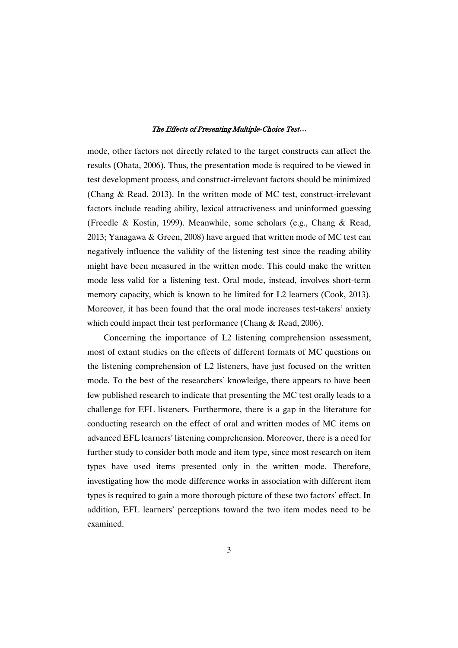mode, other factors not directly related to the target constructs can affect the results (Ohata, 2006). Thus, the presentation mode is required to be viewed in test development process, and construct-irrelevant factors should be minimized (Chang & Read, 2013). In the written mode of MC test, construct-irrelevant factors include reading ability, lexical attractiveness and uninformed guessing (Freedle & Kostin, 1999). Meanwhile, some scholars (e.g., Chang & Read, 2013; Yanagawa & Green, 2008) have argued that written mode of MC test can negatively influence the validity of the listening test since the reading ability might have been measured in the written mode. This could make the written mode less valid for a listening test. Oral mode, instead, involves short-term memory capacity, which is known to be limited for L2 learners (Cook, 2013). Moreover, it has been found that the oral mode increases test-takers' anxiety which could impact their test performance (Chang & Read, 2006).

Concerning the importance of L2 listening comprehension assessment, most of extant studies on the effects of different formats of MC questions on the listening comprehension of L2 listeners, have just focused on the written mode. To the best of the researchers' knowledge, there appears to have been few published research to indicate that presenting the MC test orally leads to a challenge for EFL listeners. Furthermore, there is a gap in the literature for conducting research on the effect of oral and written modes of MC items on advanced EFL learners' listening comprehension. Moreover, there is a need for further study to consider both mode and item type, since most research on item types have used items presented only in the written mode. Therefore, investigating how the mode difference works in association with different item types is required to gain a more thorough picture of these two factors' effect. In addition, EFL learners' perceptions toward the two item modes need to be examined.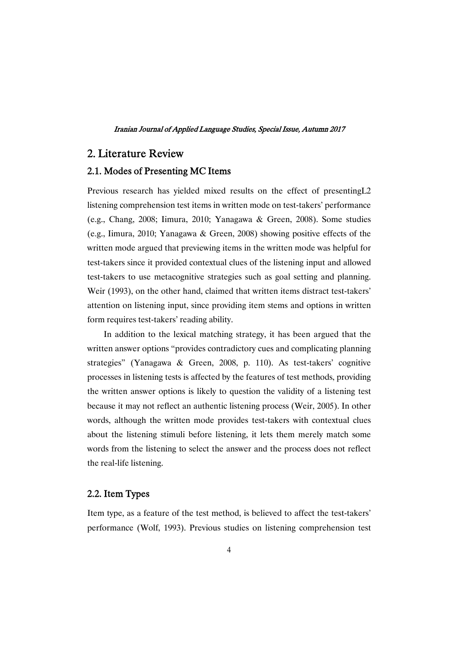# 2. Literature Review

### 2.1. Modes of Presenting MC Items

Previous research has yielded mixed results on the effect of presentingL2 listening comprehension test items in written mode on test-takers' performance (e.g., Chang, 2008; Iimura, 2010; Yanagawa & Green, 2008). Some studies (e.g., Iimura, 2010; Yanagawa & Green, 2008) showing positive effects of the written mode argued that previewing items in the written mode was helpful for test-takers since it provided contextual clues of the listening input and allowed test-takers to use metacognitive strategies such as goal setting and planning. Weir (1993), on the other hand, claimed that written items distract test-takers' attention on listening input, since providing item stems and options in written form requires test-takers' reading ability.

In addition to the lexical matching strategy, it has been argued that the written answer options "provides contradictory cues and complicating planning strategies" (Yanagawa & Green, 2008, p. 110). As test-takers' cognitive processes in listening tests is affected by the features of test methods, providing the written answer options is likely to question the validity of a listening test because it may not reflect an authentic listening process (Weir, 2005). In other words, although the written mode provides test-takers with contextual clues about the listening stimuli before listening, it lets them merely match some words from the listening to select the answer and the process does not reflect the real-life listening.

## 2.2.ItemTypes

Item type, as a feature of the test method, is believed to affect the test-takers' performance (Wolf, 1993). Previous studies on listening comprehension test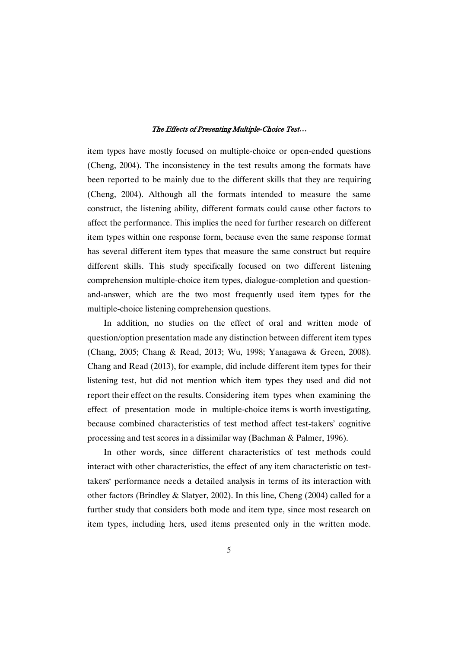item types have mostly focused on multiple-choice or open-ended questions (Cheng, 2004). The inconsistency in the test results among the formats have been reported to be mainly due to the different skills that they are requiring (Cheng, 2004). Although all the formats intended to measure the same construct, the listening ability, different formats could cause other factors to affect the performance. This implies the need for further research on different item types within one response form, because even the same response format has several different item types that measure the same construct but require different skills. This study specifically focused on two different listening comprehension multiple-choice item types, dialogue-completion and questionand-answer, which are the two most frequently used item types for the multiple-choice listening comprehension questions.

In addition, no studies on the effect of oral and written mode of question/option presentation made any distinction between different item types (Chang, 2005; Chang & Read, 2013; Wu, 1998; Yanagawa & Green, 2008). Chang and Read (2013), for example, did include different item types for their listening test, but did not mention which item types they used and did not report their effect on the results. Considering item types when examining the effect of presentation mode in multiple-choice items is worth investigating, because combined characteristics of test method affect test-takers' cognitive processing and test scores in a dissimilar way (Bachman & Palmer, 1996).

In other words, since different characteristics of test methods could interact with other characteristics, the effect of any item characteristic on testtakers' performance needs a detailed analysis in terms of its interaction with other factors (Brindley & Slatyer, 2002). In this line, Cheng (2004) called for a further study that considers both mode and item type, since most research on item types, including hers, used items presented only in the written mode.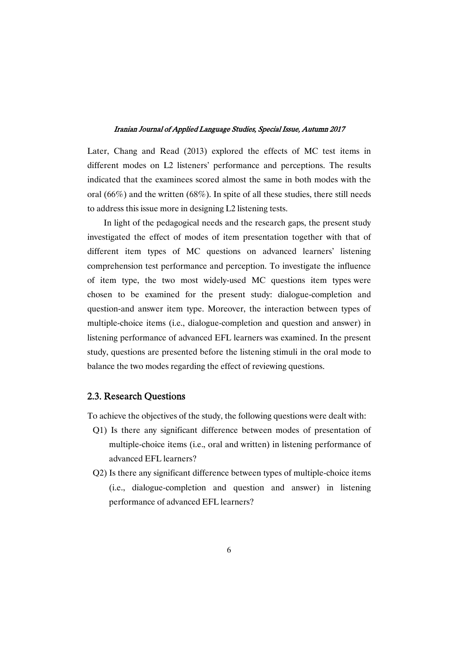Later, Chang and Read (2013) explored the effects of MC test items in different modes on L2 listeners' performance and perceptions. The results indicated that the examinees scored almost the same in both modes with the oral (66%) and the written (68%). In spite of all these studies, there still needs to address this issue more in designing L2 listening tests.

In light of the pedagogical needs and the research gaps, the present study investigated the effect of modes of item presentation together with that of different item types of MC questions on advanced learners' listening comprehension test performance and perception. To investigate the influence of item type, the two most widely-used MC questions item types were chosen to be examined for the present study: dialogue-completion and question-and answer item type. Moreover, the interaction between types of multiple-choice items (i.e., dialogue-completion and question and answer) in listening performance of advanced EFL learners was examined. In the present study, questions are presented before the listening stimuli in the oral mode to balance the two modes regarding the effect of reviewing questions.

### 2.3. Research Ouestions

To achieve the objectives of the study, the following questions were dealt with:

- Q1) Is there any significant difference between modes of presentation of multiple-choice items (i.e., oral and written) in listening performance of advanced EFL learners?
- Q2) Is there any significant difference between types of multiple-choice items (i.e., dialogue-completion and question and answer) in listening performance of advanced EFL learners?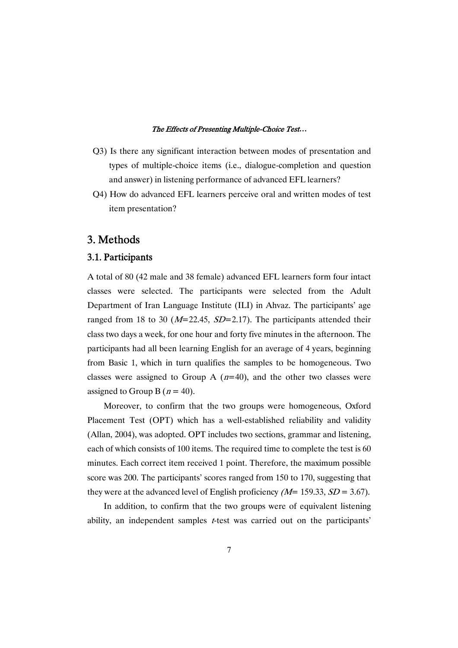- Q3) Is there any significant interaction between modes of presentation and types of multiple-choice items (i.e., dialogue-completion and question and answer) in listening performance of advanced EFL learners?
- Q4) How do advanced EFL learners perceive oral and written modes of test item presentation?

# 3.Methods

# 3.1.Participants

A total of 80 (42 male and 38 female) advanced EFL learners form four intact classes were selected. The participants were selected from the Adult Department of Iran Language Institute (ILI) in Ahvaz. The participants' age ranged from 18 to 30 ( $M=22.45$ ,  $SD=2.17$ ). The participants attended their class two days a week, for one hour and forty five minutes in the afternoon. The participants had all been learning English for an average of 4 years, beginning from Basic 1, which in turn qualifies the samples to be homogeneous. Two classes were assigned to Group A  $(n=40)$ , and the other two classes were assigned to Group B ( $n = 40$ ).

Moreover, to confirm that the two groups were homogeneous, Oxford Placement Test (OPT) which has a well-established reliability and validity (Allan, 2004), was adopted. OPT includes two sections, grammar and listening, each of which consists of 100 items. The required time to complete the test is 60 minutes. Each correct item received 1 point. Therefore, the maximum possible score was 200. The participants' scores ranged from 150 to 170, suggesting that they were at the advanced level of English proficiency  $(M= 159.33, SD = 3.67)$ .

In addition, to confirm that the two groups were of equivalent listening ability, an independent samples *t*-test was carried out on the participants'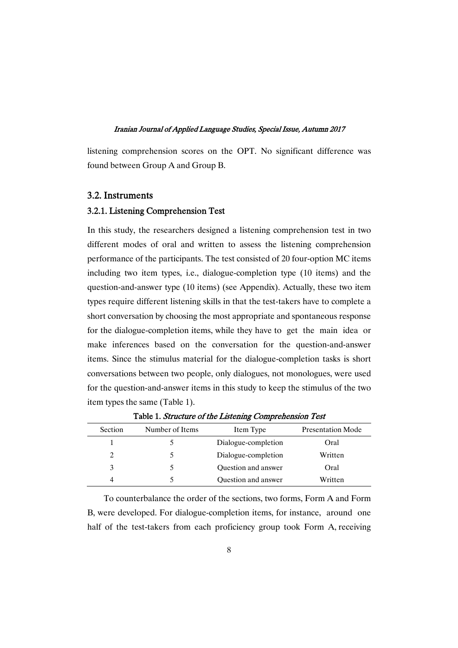listening comprehension scores on the OPT. No significant difference was found between Group A and Group B.

### 3.2.Instruments

### 3.2.1. Listening Comprehension Test

In this study, the researchers designed a listening comprehension test in two different modes of oral and written to assess the listening comprehension performance of the participants. The test consisted of 20 four-option MC items including two item types, i.e., dialogue-completion type (10 items) and the question-and-answer type (10 items) (see Appendix). Actually, these two item types require different listening skills in that the test-takers have to complete a short conversation by choosing the most appropriate and spontaneous response for the dialogue-completion items, while they have to get the main idea or make inferences based on the conversation for the question-and-answer items. Since the stimulus material for the dialogue-completion tasks is short conversations between two people, only dialogues, not monologues, were used for the question-and-answer items in this study to keep the stimulus of the two item types the same (Table 1).

| Section | Number of Items | Item Type                  | <b>Presentation Mode</b> |
|---------|-----------------|----------------------------|--------------------------|
|         |                 | Dialogue-completion        | Oral                     |
| 2       |                 | Dialogue-completion        | Written                  |
| 3       |                 | <b>Ouestion and answer</b> | Oral                     |
| 4       |                 | Question and answer        | Written                  |

Table 1. Structure of the Listening Comprehension Test

To counterbalance the order of the sections, two forms, Form A and Form B, were developed. For dialogue-completion items, for instance, around one half of the test-takers from each proficiency group took Form A, receiving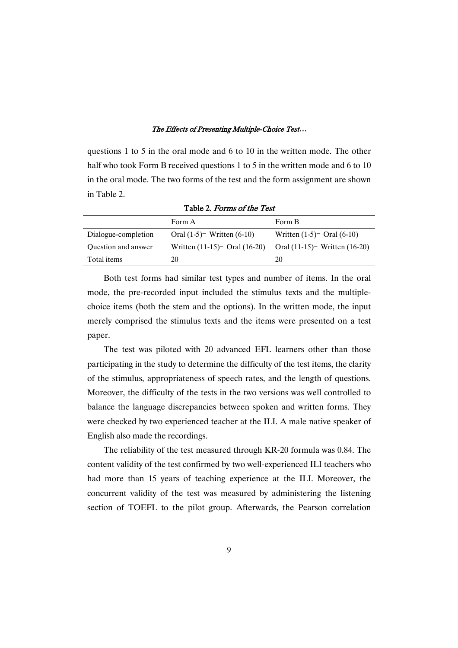questions 1 to 5 in the oral mode and 6 to 10 in the written mode. The other half who took Form B received questions 1 to 5 in the written mode and 6 to 10 in the oral mode. The two forms of the test and the form assignment are shown in Table 2.

|                     | Form A                           | Form B                           |
|---------------------|----------------------------------|----------------------------------|
| Dialogue-completion | Oral $(1-5)$ Written $(6-10)$    | Written $(1-5)$ Oral $(6-10)$    |
| Question and answer | Written $(11-15)$ Oral $(16-20)$ | Oral $(11-15)$ Written $(16-20)$ |
| Total items         | 20                               | 20                               |

Table 2. Forms of the Test

Both test forms had similar test types and number of items. In the oral mode, the pre-recorded input included the stimulus texts and the multiplechoice items (both the stem and the options). In the written mode, the input merely comprised the stimulus texts and the items were presented on a test paper.

The test was piloted with 20 advanced EFL learners other than those participating in the study to determine the difficulty of the test items, the clarity of the stimulus, appropriateness of speech rates, and the length of questions. Moreover, the difficulty of the tests in the two versions was well controlled to balance the language discrepancies between spoken and written forms. They were checked by two experienced teacher at the ILI. A male native speaker of English also made the recordings.

The reliability of the test measured through KR-20 formula was 0.84. The content validity of the test confirmed by two well-experienced ILI teachers who had more than 15 years of teaching experience at the ILI. Moreover, the concurrent validity of the test was measured by administering the listening section of TOEFL to the pilot group. Afterwards, the Pearson correlation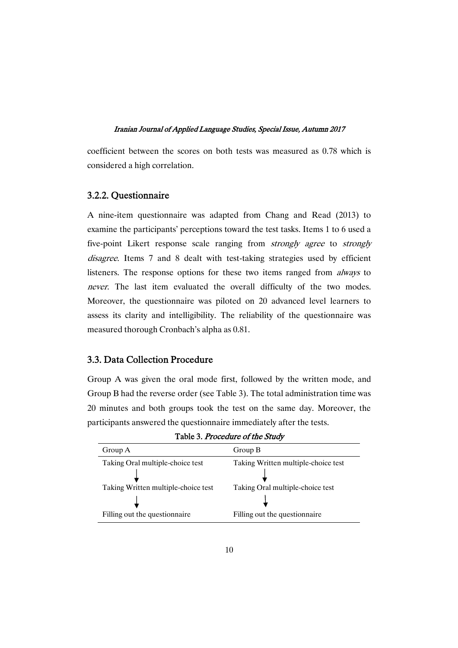coefficient between the scores on both tests was measured as 0.78 which is considered a high correlation.

### 3.2.2.Questionnaire

A nine-item questionnaire was adapted from Chang and Read (2013) to examine the participants' perceptions toward the test tasks. Items 1 to 6 used a five-point Likert response scale ranging from strongly agree to strongly disagree. Items 7 and 8 dealt with test-taking strategies used by efficient listeners. The response options for these two items ranged from always to never. The last item evaluated the overall difficulty of the two modes. Moreover, the questionnaire was piloted on 20 advanced level learners to assess its clarity and intelligibility. The reliability of the questionnaire was measured thorough Cronbach's alpha as 0.81.

### 3.3. Data Collection Procedure

Group A was given the oral mode first, followed by the written mode, and Group B had the reverse order (see Table 3). The total administration time was 20 minutes and both groups took the test on the same day. Moreover, the participants answered the questionnaire immediately after the tests.

| Group A                             | Group B                             |
|-------------------------------------|-------------------------------------|
| Taking Oral multiple-choice test    | Taking Written multiple-choice test |
|                                     |                                     |
| Taking Written multiple-choice test | Taking Oral multiple-choice test    |
|                                     |                                     |
| Filling out the questionnaire       | Filling out the question aire       |

Table 3. Procedure of the Study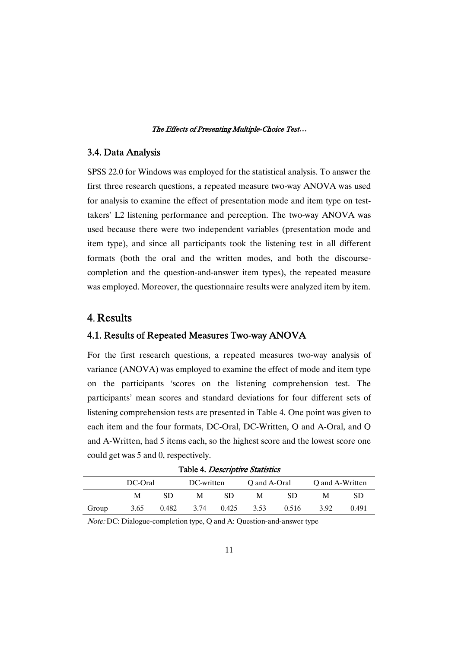### 3.4.DataAnalysis

SPSS 22.0 for Windows was employed for the statistical analysis. To answer the first three research questions, a repeated measure two-way ANOVA was used for analysis to examine the effect of presentation mode and item type on testtakers' L2 listening performance and perception. The two-way ANOVA was used because there were two independent variables (presentation mode and item type), and since all participants took the listening test in all different formats (both the oral and the written modes, and both the discoursecompletion and the question-and-answer item types), the repeated measure was employed. Moreover, the questionnaire results were analyzed item by item.

# 4. Results

### 4.1. Results of Repeated Measures Two-way ANOVA

For the first research questions, a repeated measures two-way analysis of variance (ANOVA) was employed to examine the effect of mode and item type on the participants 'scores on the listening comprehension test. The participants' mean scores and standard deviations for four different sets of listening comprehension tests are presented in Table 4. One point was given to each item and the four formats, DC-Oral, DC-Written, Q and A-Oral, and Q and A-Written, had 5 items each, so the highest score and the lowest score one could get was 5 and 0, respectively.

|       | DC-Oral |       | DC-written |       | O and A-Oral |       | O and A-Written |       |
|-------|---------|-------|------------|-------|--------------|-------|-----------------|-------|
|       | М       | SD.   | М          | SD.   | М            | SD    | м               | SD    |
| Group | 3.65    | 0.482 | 3.74       | 0.425 | 3.53         | 0.516 | 3.92            | 0.491 |

Table 4. Descriptive Statistics

Note: DC: Dialogue-completion type, Q and A: Question-and-answer type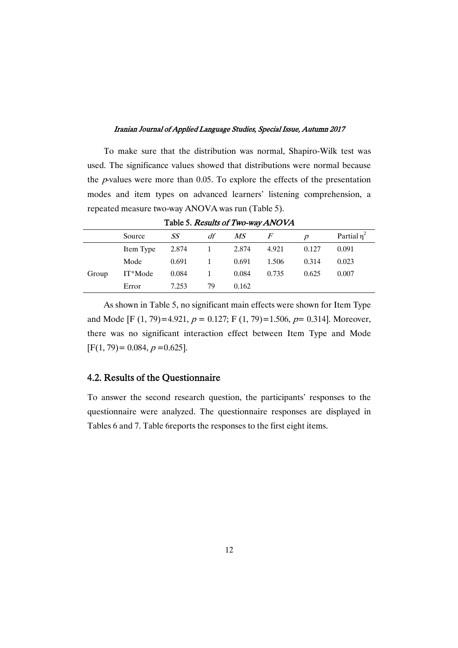To make sure that the distribution was normal, Shapiro-Wilk test was used. The significance values showed that distributions were normal because the  $p$ -values were more than 0.05. To explore the effects of the presentation modes and item types on advanced learners' listening comprehension, a repeated measure two-way ANOVA was run (Table 5).

|       |           |       |    |       | <b>1 able 5. <i>Results of 1 Wo-Way AINOVA</i></b> |               |                  |
|-------|-----------|-------|----|-------|----------------------------------------------------|---------------|------------------|
|       | Source    | SS    | df | MS    | F                                                  | $\mathcal{D}$ | Partial $\eta^2$ |
|       | Item Type | 2.874 |    | 2.874 | 4.921                                              | 0.127         | 0.091            |
|       | Mode      | 0.691 | 1  | 0.691 | 1.506                                              | 0.314         | 0.023            |
| Group | IT*Mode   | 0.084 |    | 0.084 | 0.735                                              | 0.625         | 0.007            |
|       | Error     | 7.253 | 79 | 0.162 |                                                    |               |                  |

Table 5. Degults of Two-way ANOVA

As shown in Table 5, no significant main effects were shown for Item Type and Mode [F (1, 79)=4.921,  $p = 0.127$ ; F (1, 79)=1.506,  $p = 0.314$ ]. Moreover, there was no significant interaction effect between Item Type and Mode  $[F(1, 79) = 0.084, p = 0.625].$ 

### 4.2. Results of the Questionnaire

To answer the second research question, the participants' responses to the questionnaire were analyzed. The questionnaire responses are displayed in Tables 6 and 7. Table 6reports the responses to the first eight items.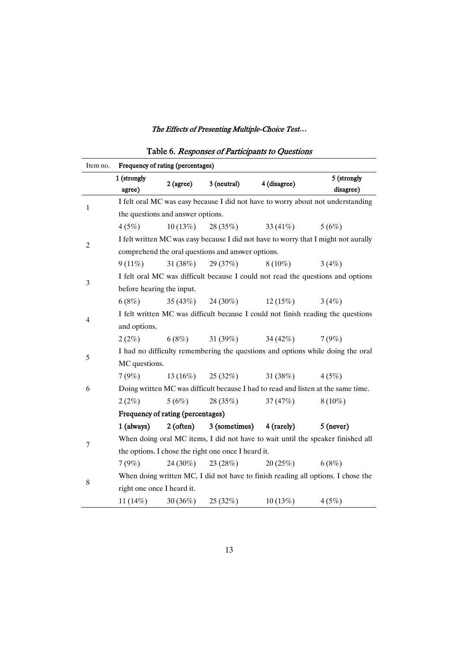| Item no.                                                                         | Frequency of rating (percentages) |                                   |                                                     |              |                                                                                     |
|----------------------------------------------------------------------------------|-----------------------------------|-----------------------------------|-----------------------------------------------------|--------------|-------------------------------------------------------------------------------------|
|                                                                                  | 1 (strongly<br>agree)             | $2$ (agree)                       | 3 (neutral)                                         | 4 (disagree) | 5 (strongly<br>disagree)                                                            |
| $\mathbf{1}$                                                                     |                                   |                                   |                                                     |              | I felt oral MC was easy because I did not have to worry about not understanding     |
|                                                                                  |                                   | the questions and answer options. |                                                     |              |                                                                                     |
|                                                                                  | 4(5%)                             | 10(13%)                           | 28 (35%)                                            | 33 $(41\%)$  | 5(6%)                                                                               |
| $\overline{c}$                                                                   |                                   |                                   |                                                     |              | I felt written MC was easy because I did not have to worry that I might not aurally |
|                                                                                  |                                   |                                   | comprehend the oral questions and answer options.   |              |                                                                                     |
|                                                                                  | $9(11\%)$                         | 31(38%)                           | 29 (37%)                                            | $8(10\%)$    | 3(4%)                                                                               |
| 3                                                                                |                                   |                                   |                                                     |              | I felt oral MC was difficult because I could not read the questions and options     |
|                                                                                  | before hearing the input.         |                                   |                                                     |              |                                                                                     |
|                                                                                  | 6(8%)                             |                                   | $35(43%)$ 24 (30%)                                  | 12(15%)      | 3(4%)                                                                               |
| 4                                                                                |                                   |                                   |                                                     |              | I felt written MC was difficult because I could not finish reading the questions    |
|                                                                                  | and options.                      |                                   |                                                     |              |                                                                                     |
|                                                                                  | $2(2\%)$                          | 6(8%)                             | 31(39%)                                             | 34 $(42\%)$  | 7(9%)                                                                               |
| 5                                                                                |                                   |                                   |                                                     |              | I had no difficulty remembering the questions and options while doing the oral      |
|                                                                                  | MC questions.                     |                                   |                                                     |              |                                                                                     |
|                                                                                  | 7(9%)                             |                                   | $13(16\%)$ $25(32\%)$ $31(38\%)$                    |              | 4(5%)                                                                               |
| 6                                                                                |                                   |                                   |                                                     |              | Doing written MC was difficult because I had to read and listen at the same time.   |
|                                                                                  | $2(2\%)$                          | 5(6%)                             | 28(35%)                                             | 37(47%)      | $8(10\%)$                                                                           |
|                                                                                  | Frequency of rating (percentages) |                                   |                                                     |              |                                                                                     |
|                                                                                  | 1 (always)                        | 2(often)                          | 3 (sometimes) 4 (rarely)                            |              | $5$ (never)                                                                         |
| 7                                                                                |                                   |                                   |                                                     |              | When doing oral MC items, I did not have to wait until the speaker finished all     |
|                                                                                  |                                   |                                   | the options. I chose the right one once I heard it. |              |                                                                                     |
|                                                                                  | 7(9%)                             |                                   | $24(30\%)$ $23(28\%)$                               | 20(25%)      | 6(8%)                                                                               |
| When doing written MC, I did not have to finish reading all options. I chose the |                                   |                                   |                                                     |              |                                                                                     |
| $8\,$                                                                            | right one once I heard it.        |                                   |                                                     |              |                                                                                     |
|                                                                                  |                                   | $11(14\%)$ $30(36\%)$ $25(32\%)$  |                                                     | 10(13%)      | 4(5%)                                                                               |

# Table 6. Responses of Participants to Questions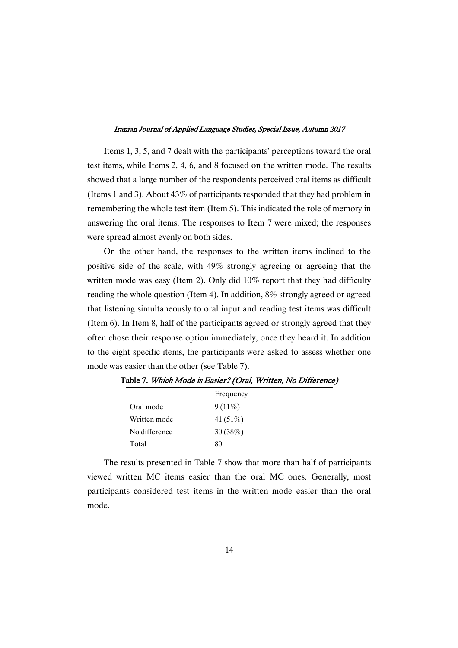Items 1, 3, 5, and 7 dealt with the participants' perceptions toward the oral test items, while Items 2, 4, 6, and 8 focused on the written mode. The results showed that a large number of the respondents perceived oral items as difficult (Items 1 and 3). About 43% of participants responded that they had problem in remembering the whole test item (Item 5). This indicated the role of memory in answering the oral items. The responses to Item 7 were mixed; the responses were spread almost evenly on both sides.

On the other hand, the responses to the written items inclined to the positive side of the scale, with 49% strongly agreeing or agreeing that the written mode was easy (Item 2). Only did 10% report that they had difficulty reading the whole question (Item 4). In addition, 8% strongly agreed or agreed that listening simultaneously to oral input and reading test items was difficult (Item 6). In Item 8, half of the participants agreed or strongly agreed that they often chose their response option immediately, once they heard it. In addition to the eight specific items, the participants were asked to assess whether one mode was easier than the other (see Table 7).

|               | Frequency   |
|---------------|-------------|
| Oral mode     | $9(11\%)$   |
| Written mode  | 41 $(51\%)$ |
| No difference | 30 $(38%)$  |
| Total         | 80          |

Table 7. Which Mode is Easier? (Oral, Written, No Difference)

The results presented in Table 7 show that more than half of participants viewed written MC items easier than the oral MC ones. Generally, most participants considered test items in the written mode easier than the oral mode.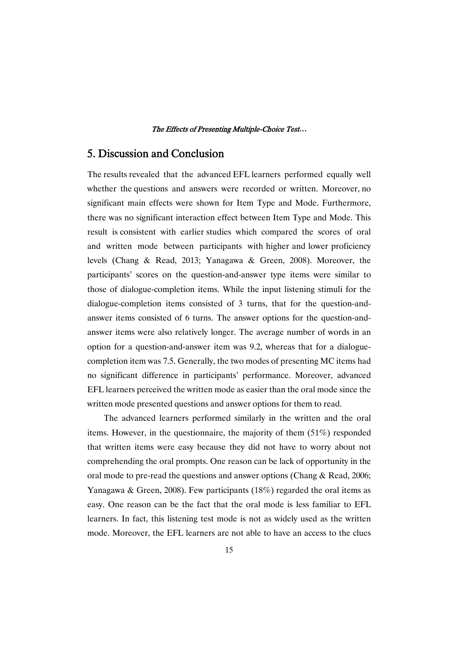# 5. Discussion and Conclusion

The results revealed that the advanced EFL learners performed equally well whether the questions and answers were recorded or written. Moreover, no significant main effects were shown for Item Type and Mode. Furthermore, there was no significant interaction effect between Item Type and Mode. This result is consistent with earlier studies which compared the scores of oral and written mode between participants with higher and lower proficiency levels (Chang & Read, 2013; Yanagawa & Green, 2008). Moreover, the participants' scores on the question-and-answer type items were similar to those of dialogue-completion items. While the input listening stimuli for the dialogue-completion items consisted of 3 turns, that for the question-andanswer items consisted of 6 turns. The answer options for the question-andanswer items were also relatively longer. The average number of words in an option for a question-and-answer item was 9.2, whereas that for a dialoguecompletion item was 7.5. Generally, the two modes of presenting MC items had no significant difference in participants' performance. Moreover, advanced EFL learners perceived the written mode as easier than the oral mode since the written mode presented questions and answer options for them to read.

The advanced learners performed similarly in the written and the oral items. However, in the questionnaire, the majority of them (51%) responded that written items were easy because they did not have to worry about not comprehending the oral prompts. One reason can be lack of opportunity in the oral mode to pre-read the questions and answer options (Chang & Read, 2006; Yanagawa & Green, 2008). Few participants (18%) regarded the oral items as easy. One reason can be the fact that the oral mode is less familiar to EFL learners. In fact, this listening test mode is not as widely used as the written mode. Moreover, the EFL learners are not able to have an access to the clues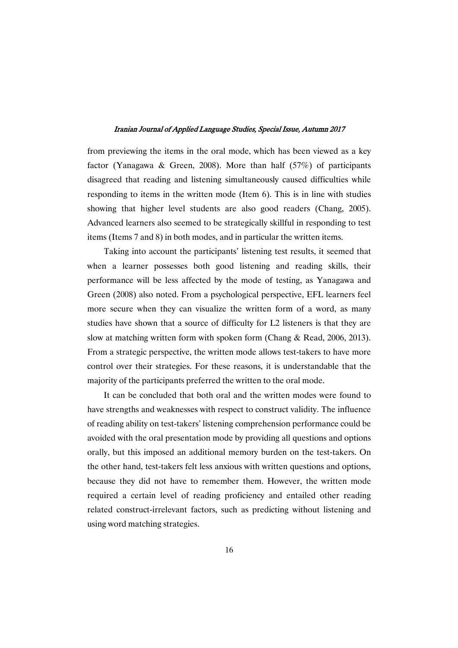from previewing the items in the oral mode, which has been viewed as a key factor (Yanagawa & Green, 2008). More than half  $(57%)$  of participants disagreed that reading and listening simultaneously caused difficulties while responding to items in the written mode (Item 6). This is in line with studies showing that higher level students are also good readers (Chang, 2005). Advanced learners also seemed to be strategically skillful in responding to test items (Items 7 and 8) in both modes, and in particular the written items.

Taking into account the participants' listening test results, it seemed that when a learner possesses both good listening and reading skills, their performance will be less affected by the mode of testing, as Yanagawa and Green (2008) also noted. From a psychological perspective, EFL learners feel more secure when they can visualize the written form of a word, as many studies have shown that a source of difficulty for L2 listeners is that they are slow at matching written form with spoken form (Chang & Read, 2006, 2013). From a strategic perspective, the written mode allows test-takers to have more control over their strategies. For these reasons, it is understandable that the majority of the participants preferred the written to the oral mode.

It can be concluded that both oral and the written modes were found to have strengths and weaknesses with respect to construct validity. The influence of reading ability on test-takers' listening comprehension performance could be avoided with the oral presentation mode by providing all questions and options orally, but this imposed an additional memory burden on the test-takers. On the other hand, test-takers felt less anxious with written questions and options, because they did not have to remember them. However, the written mode required a certain level of reading proficiency and entailed other reading related construct-irrelevant factors, such as predicting without listening and using word matching strategies.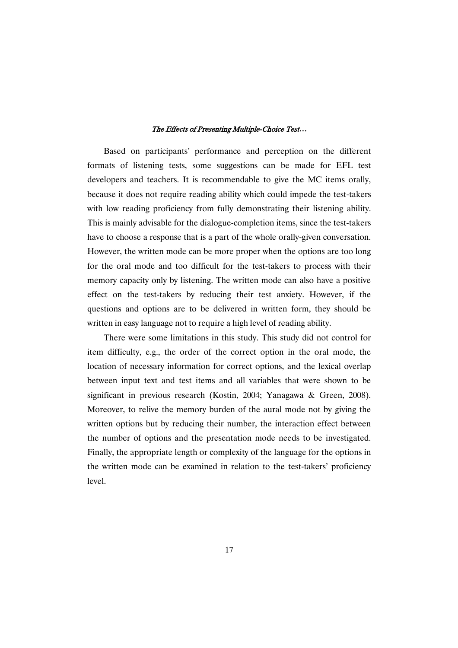Based on participants' performance and perception on the different formats of listening tests, some suggestions can be made for EFL test developers and teachers. It is recommendable to give the MC items orally, because it does not require reading ability which could impede the test-takers with low reading proficiency from fully demonstrating their listening ability. This is mainly advisable for the dialogue-completion items, since the test-takers have to choose a response that is a part of the whole orally-given conversation. However, the written mode can be more proper when the options are too long for the oral mode and too difficult for the test-takers to process with their memory capacity only by listening. The written mode can also have a positive effect on the test-takers by reducing their test anxiety. However, if the questions and options are to be delivered in written form, they should be written in easy language not to require a high level of reading ability.

There were some limitations in this study. This study did not control for item difficulty, e.g., the order of the correct option in the oral mode, the location of necessary information for correct options, and the lexical overlap between input text and test items and all variables that were shown to be significant in previous research (Kostin, 2004; Yanagawa & Green, 2008). Moreover, to relive the memory burden of the aural mode not by giving the written options but by reducing their number, the interaction effect between the number of options and the presentation mode needs to be investigated. Finally, the appropriate length or complexity of the language for the options in the written mode can be examined in relation to the test-takers' proficiency level.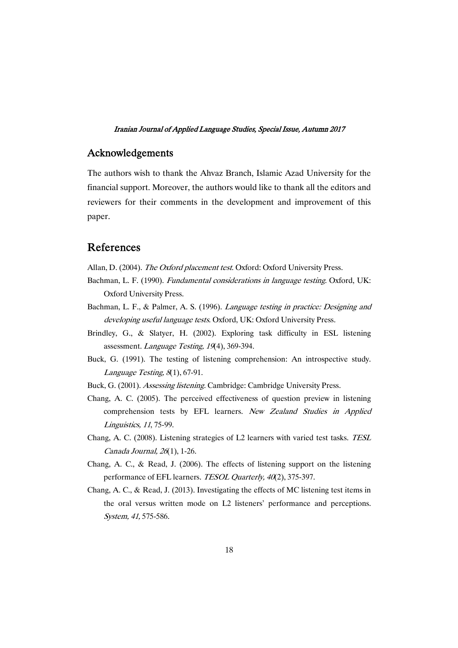### Acknowledgements

The authors wish to thank the Ahvaz Branch, Islamic Azad University for the financial support. Moreover, the authors would like to thank all the editors and reviewers for their comments in the development and improvement of this paper.

# References

Allan, D. (2004). The Oxford placement test. Oxford: Oxford University Press.

- Bachman, L. F. (1990). *Fundamental considerations in language testing*. Oxford, UK: Oxford University Press.
- Bachman, L. F., & Palmer, A. S. (1996). Language testing in practice: Designing and developing useful language tests. Oxford, UK: Oxford University Press.
- Brindley, G., & Slatyer, H. (2002). Exploring task difficulty in ESL listening assessment. Language Testing, <sup>19</sup>(4), 369-394.
- Buck, G. (1991). The testing of listening comprehension: An introspective study. Language Testing, <sup>8</sup>(1), 67-91.
- Buck, G. (2001). Assessing listening. Cambridge: Cambridge University Press.
- Chang, A. C. (2005). The perceived effectiveness of question preview in listening comprehension tests by EFL learners. New Zealand Studies in Applied Linguistics, <sup>11</sup>, 75-99.
- Chang, A. C. (2008). Listening strategies of L2 learners with varied test tasks. TESL Canada Journal, <sup>26</sup>(1), 1-26.
- Chang, A. C., & Read, J. (2006). The effects of listening support on the listening performance of EFL learners. *TESOL Quarterly*, 40(2), 375-397.
- Chang, A. C., & Read, J. (2013). Investigating the effects of MC listening test items in the oral versus written mode on L2 listeners' performance and perceptions. System, 41, 575-586.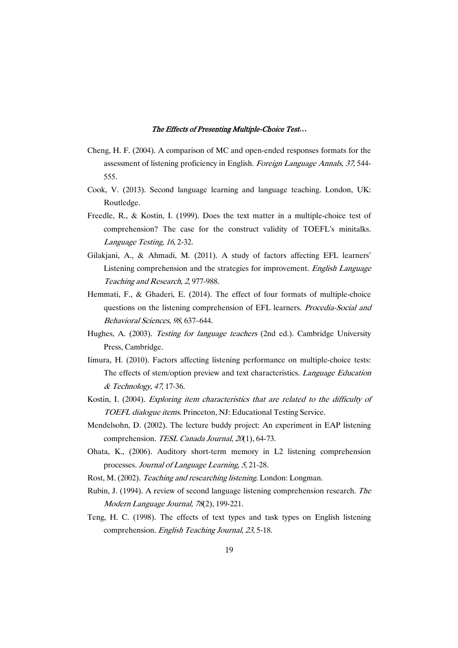- Cheng, H. F. (2004). A comparison of MC and open-ended responses formats for the assessment of listening proficiency in English. Foreign Language Annals, <sup>37</sup>, 544- 555.
- Cook, V. (2013). Second language learning and language teaching. London, UK: Routledge.
- Freedle, R., & Kostin, I. (1999). Does the text matter in a multiple-choice test of comprehension? The case for the construct validity of TOEFL's minitalks. Language Testing, <sup>16</sup>, 2-32.
- Gilakjani, A., & Ahmadi, M. (2011). A study of factors affecting EFL learners' Listening comprehension and the strategies for improvement. English Language Teaching and Research, <sup>2</sup>, 977-988.
- Hemmati, F., & Ghaderi, E. (2014). The effect of four formats of multiple-choice questions on the listening comprehension of EFL learners. *Procedia-Social and* Behavioral Sciences, <sup>98</sup>, 637–644.
- Hughes, A. (2003). Testing for language teachers (2nd ed.). Cambridge University Press, Cambridge.
- Iimura, H. (2010). Factors affecting listening performance on multiple-choice tests: The effects of stem/option preview and text characteristics. Language Education & Technology, <sup>47</sup>, 17-36.
- Kostin, I. (2004). Exploring item characteristics that are related to the difficulty of TOEFL dialogue items. Princeton, NJ: Educational Testing Service.
- Mendelsohn, D. (2002). The lecture buddy project: An experiment in EAP listening comprehension. TESL Canada Journal, 20(1), 64-73.
- Ohata, K., (2006). Auditory short-term memory in L2 listening comprehension processes. Journal of Language Learning, <sup>5</sup>, 21-28.
- Rost, M. (2002). Teaching and researching listening. London: Longman.
- Rubin, J. (1994). A review of second language listening comprehension research. The Modern Language Journal, <sup>78</sup>(2), 199-221.
- Teng, H. C. (1998). The effects of text types and task types on English listening comprehension. English Teaching Journal, <sup>23</sup>, 5-18.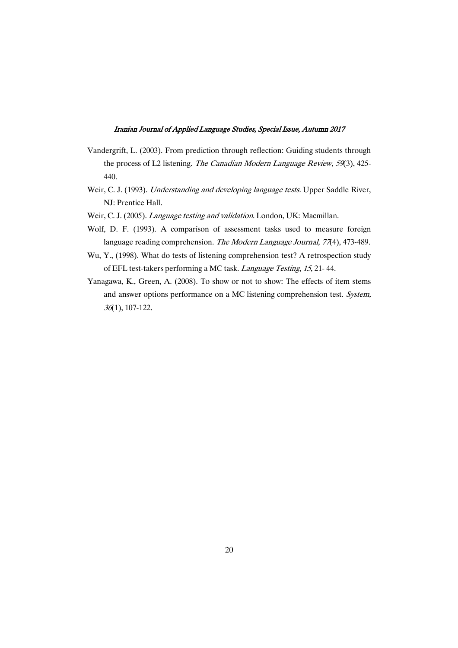- Vandergrift, L. (2003). From prediction through reflection: Guiding students through the process of L2 listening. The Canadian Modern Language Review, <sup>59</sup>(3), 425- 440.
- Weir, C. J. (1993). *Understanding and developing language tests*. Upper Saddle River, NJ: Prentice Hall.
- Weir, C. J. (2005). *Language testing and validation*. London, UK: Macmillan.
- Wolf, D. F. (1993). A comparison of assessment tasks used to measure foreign language reading comprehension. The Modern Language Journal, 77(4), 473-489.
- Wu, Y., (1998). What do tests of listening comprehension test? A retrospection study of EFL test-takers performing a MC task. Language Testing, <sup>15</sup>, 21- 44.
- Yanagawa, K., Green, A. (2008). To show or not to show: The effects of item stems and answer options performance on a MC listening comprehension test. System, <sup>36</sup>(1), 107-122.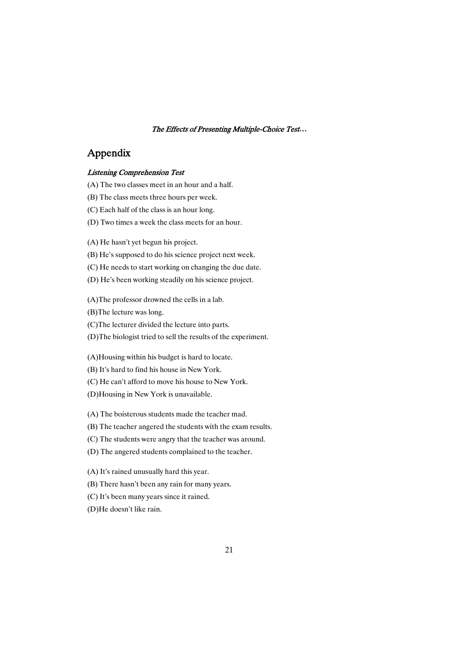# Appendix

### Listening Comprehension Test

- (A) The two classes meet in an hour and a half.
- (B) The class meets three hours per week.
- (C) Each half of the class is an hour long.
- (D) Two times a week the class meets for an hour.

(A) He hasn't yet begun his project.

(B) He's supposed to do his science project next week.

(C) He needs to start working on changing the due date.

(D) He's been working steadily on his science project.

(A)The professor drowned the cells in a lab.

(B)The lecture was long.

(C)The lecturer divided the lecture into parts.

(D)The biologist tried to sell the results of the experiment.

(A)Housing within his budget is hard to locate.

(B) It's hard to find his house in New York.

(C) He can't afford to move his house to New York.

(D)Housing in New York is unavailable.

(A) The boisterous students made the teacher mad.

(B) The teacher angered the students with the exam results.

(C) The students were angry that the teacher was around.

(D) The angered students complained to the teacher.

(A) It's rained unusually hard this year.

(B) There hasn't been any rain for many years.

(C) It's been many years since it rained.

(D)He doesn't like rain.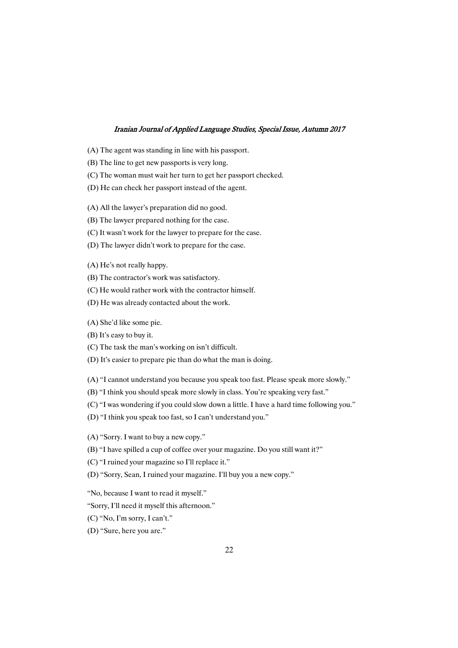- (A) The agent was standing in line with his passport.
- (B) The line to get new passports is very long.
- (C) The woman must wait her turn to get her passport checked.
- (D) He can check her passport instead of the agent.

(A) All the lawyer's preparation did no good.

(B) The lawyer prepared nothing for the case.

(C) It wasn't work for the lawyer to prepare for the case.

(D) The lawyer didn't work to prepare for the case.

(A) He's not really happy.

- (B) The contractor's work was satisfactory.
- (C) He would rather work with the contractor himself.
- (D) He was already contacted about the work.

(A) She'd like some pie.

(B) It's easy to buy it.

(C) The task the man's working on isn't difficult.

(D) It's easier to prepare pie than do what the man is doing.

(A) "I cannot understand you because you speak too fast. Please speak more slowly."

- (B) "I think you should speak more slowly in class. You're speaking very fast."
- (C) "I was wondering if you could slow down a little. I have a hard time following you."
- (D) "I think you speak too fast, so I can't understand you."

(A) "Sorry. I want to buy a new copy."

(B) "I have spilled a cup of coffee over your magazine. Do you still want it?"

(C) "I ruined your magazine so I'll replace it."

(D) "Sorry, Sean, I ruined your magazine. I'll buy you a new copy."

"No, because I want to read it myself."

"Sorry, I'll need it myself this afternoon."

(C) "No, I'm sorry, I can't."

(D) "Sure, here you are."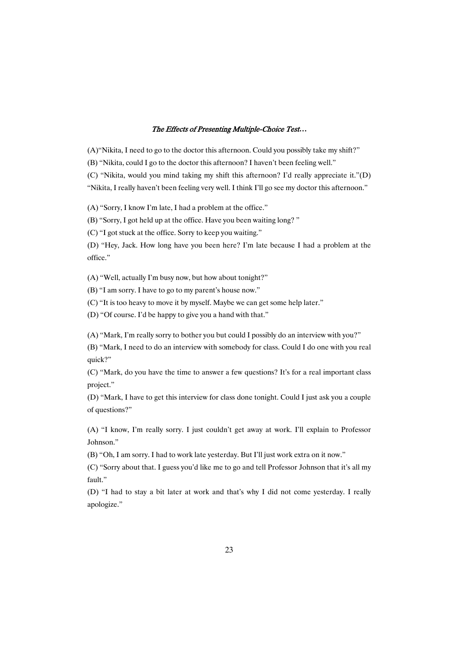(A)"Nikita, I need to go to the doctor this afternoon. Could you possibly take my shift?"

(B) "Nikita, could I go to the doctor this afternoon? I haven't been feeling well."

(C) "Nikita, would you mind taking my shift this afternoon? I'd really appreciate it."(D)

"Nikita, I really haven't been feeling very well. I think I'll go see my doctor this afternoon."

(A) "Sorry, I know I'm late, I had a problem at the office."

(B) "Sorry, I got held up at the office. Have you been waiting long? "

(C) "I got stuck at the office. Sorry to keep you waiting."

(D) "Hey, Jack. How long have you been here? I'm late because I had a problem at the office."

(A) "Well, actually I'm busy now, but how about tonight?"

(B) "I am sorry. I have to go to my parent's house now."

(C) "It is too heavy to move it by myself. Maybe we can get some help later."

(D) "Of course. I'd be happy to give you a hand with that."

(A) "Mark, I'm really sorry to bother you but could I possibly do an interview with you?"

(B) "Mark, I need to do an interview with somebody for class. Could I do one with you real quick?"

(C) "Mark, do you have the time to answer a few questions? It's for a real important class project."

(D) "Mark, I have to get this interview for class done tonight. Could I just ask you a couple of questions?"

(A) "I know, I'm really sorry. I just couldn't get away at work. I'll explain to Professor Johnson."

(B) "Oh, I am sorry. I had to work late yesterday. But I'll just work extra on it now."

(C) "Sorry about that. I guess you'd like me to go and tell Professor Johnson that it's all my fault."

(D) "I had to stay a bit later at work and that's why I did not come yesterday. I really apologize."